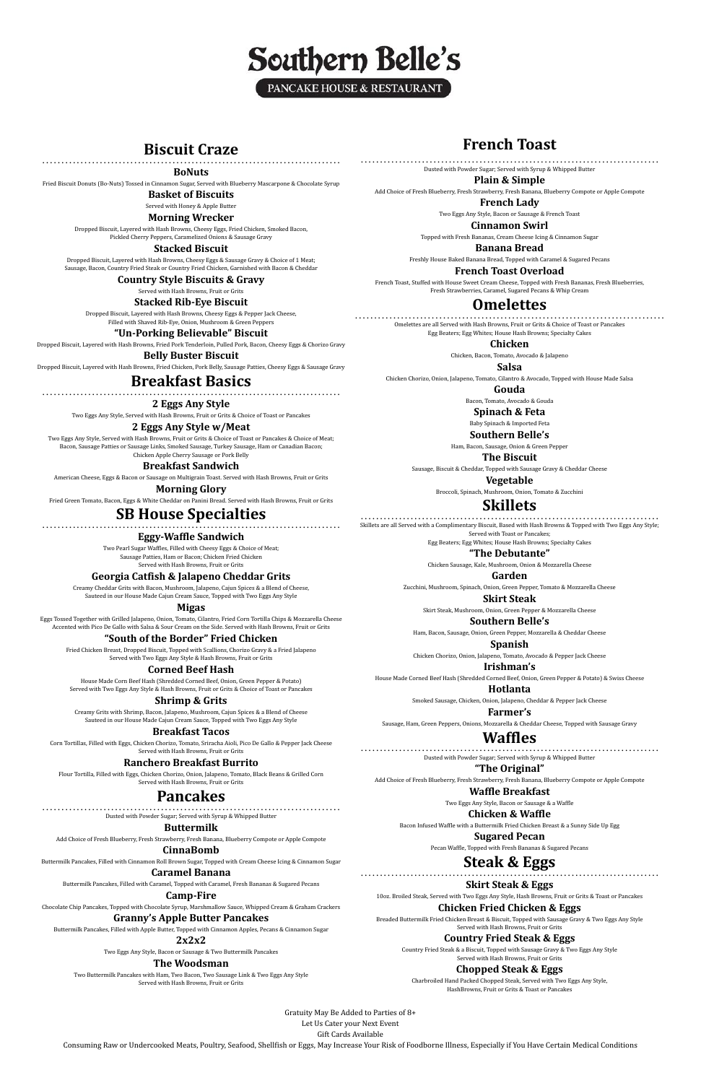

# **Biscuit Craze** ……………………………………………………………………

#### **BoNuts**

Fried Biscuit Donuts (Bo-Nuts) Tossed in Cinnamon Sugar, Served with Blueberry Mascarpone & Chocolate Syrup

**Basket of Biscuits** Served with Honey & Apple Butter

# **Morning Wrecker**

Dropped Biscuit, Layered with Hash Browns, Cheesy Eggs, Fried Chicken, Smoked Bacon, Pickled Cherry Peppers, Caramelized Onions & Sausage Gravy

#### **Stacked Biscuit**

Dropped Biscuit, Layered with Hash Browns, Cheesy Eggs & Sausage Gravy & Choice of 1 Meat; Sausage, Bacon, Country Fried Steak or Country Fried Chicken, Garnished with Bacon & Cheddar

**Country Style Biscuits & Gravy**

Served with Hash Browns, Fruit or Grits

#### **Stacked Rib-Eye Biscuit**

Dropped Biscuit, Layered with Hash Browns, Cheesy Eggs & Pepper Jack Cheese, Filled with Shaved Rib-Eye, Onion, Mushroom & Green Peppers

**"Un-Porking Believable" Biscuit**

Dropped Biscuit, Layered with Hash Browns, Fried Pork Tenderloin, Pulled Pork, Bacon, Cheesy Eggs & Chorizo Gravy

**Belly Buster Biscuit** Dropped Biscuit, Layered with Hash Browns, Fried Chicken, Pork Belly, Sausage Patties, Cheesy Eggs & Sausage Gravy

# **Breakfast Basics** ……………………………………………………………………

**2 Eggs Any Style**

Two Eggs Any Style, Served with Hash Browns, Fruit or Grits & Choice of Toast or Pancakes

#### **2 Eggs Any Style w/Meat**

Two Eggs Any Style, Served with Hash Browns, Fruit or Grits & Choice of Toast or Pancakes & Choice of Meat; Bacon, Sausage Patties or Sausage Links, Smoked Sausage, Turkey Sausage, Ham or Canadian Bacon; Chicken Apple Cherry Sausage or Pork Belly

# **Breakfast Sandwich**

American Cheese, Eggs & Bacon or Sausage on Multigrain Toast. Served with Hash Browns, Fruit or Grits

**Morning Glory**

Fried Green Tomato, Bacon, Eggs & White Cheddar on Panini Bread. Served with Hash Browns, Fruit or Grits

# **SB House Specialties** ……………………………………………………………………

# **Eggy-Waffle Sandwich**

Two Pearl Sugar Waffles, Filled with Cheesy Eggs & Choice of Meat; Sausage Patties, Ham or Bacon; Chicken Fried Chicken Served with Hash Browns, Fruit or Grits

### **Georgia Catfish & Jalapeno Cheddar Grits**

Creamy Cheddar Grits with Bacon, Mushroom, Jalapeno, Cajun Spices & a Blend of Cheese, Sauteed in our House Made Cajun Cream Sauce, Topped with Two Eggs Any Style

**Migas**

Eggs Tossed Together with Grilled Jalapeno, Onion, Tomato, Cilantro, Fried Corn Tortilla Chips & Mozzarella Cheese Accented with Pico De Gallo with Salsa & Sour Cream on the Side. Served with Hash Browns, Fruit or Grits

# **"South of the Border" Fried Chicken**

Fried Chicken Breast, Dropped Biscuit, Topped with Scallions, Chorizo Gravy & a Fried Jalapeno Served with Two Eggs Any Style & Hash Browns, Fruit or Grits

## **Corned Beef Hash**

House Made Corn Beef Hash (Shredded Corned Beef, Onion, Green Pepper & Potato) Served with Two Eggs Any Style & Hash Browns, Fruit or Grits & Choice of Toast or Pancakes

## **Shrimp & Grits**

Creamy Grits with Shrimp, Bacon, Jalapeno, Mushroom, Cajun Spices & a Blend of Cheese Sauteed in our House Made Cajun Cream Sauce, Topped with Two Eggs Any Style

#### **Breakfast Tacos**

Corn Tortillas, Filled with Eggs, Chicken Chorizo, Tomato, Sriracha Aioli, Pico De Gallo & Pepper Jack Cheese Served with Hash Browns, Fruit or Grits

### **Ranchero Breakfast Burrito**

Flour Tortilla, Filled with Eggs, Chicken Chorizo, Onion, Jalapeno, Tomato, Black Beans & Grilled Corn

# Served with Hash Browns, Fruit or Grits

# **Pancakes** ……………………………………………………………………

Dusted with Powder Sugar; Served with Syrup & Whipped Butter

# **Buttermilk**

Add Choice of Fresh Blueberry, Fresh Strawberry, Fresh Banana, Blueberry Compote or Apple Compote

## **CinnaBomb**

Buttermilk Pancakes, Filled with Cinnamon Roll Brown Sugar, Topped with Cream Cheese Icing & Cinnamon Sugar

# **Caramel Banana**

Buttermilk Pancakes, Filled with Caramel, Topped with Caramel, Fresh Bananas & Sugared Pecans

# **Camp-Fire**

Chocolate Chip Pancakes, Topped with Chocolate Syrup, Marshmallow Sauce, Whipped Cream & Graham Crackers

# **Granny's Apple Butter Pancakes**

Buttermilk Pancakes, Filled with Apple Butter, Topped with Cinnamon Apples, Pecans & Cinnamon Sugar

## **2x2x2**

Two Eggs Any Style, Bacon or Sausage & Two Buttermilk Pancakes

# **The Woodsman**

Two Buttermilk Pancakes with Ham, Two Bacon, Two Sausage Link & Two Eggs Any Style Served with Hash Browns, Fruit or Grits

# **French Toast**

…………………………………………………………………… Dusted with Powder Sugar; Served with Syrup & Whipped Butter

#### **Plain & Simple**

Add Choice of Fresh Blueberry, Fresh Strawberry, Fresh Banana, Blueberry Compote or Apple Compote

**French Lady**

Two Eggs Any Style, Bacon or Sausage & French Toast

**Cinnamon Swirl**

Topped with Fresh Bananas, Cream Cheese Icing & Cinnamon Sugar

**Banana Bread**

Freshly House Baked Banana Bread, Topped with Caramel & Sugared Pecans

**French Toast Overload**

French Toast, Stuffed with House Sweet Cream Cheese, Topped with Fresh Bananas, Fresh Blueberries, Fresh Strawberries, Caramel, Sugared Pecans & Whip Cream

# **Omelettes** ………………………………………………………………………

Omelettes are all Served with Hash Browns, Fruit or Grits & Choice of Toast or Pancakes Egg Beaters; Egg Whites; House Hash Browns; Specialty Cakes

**Chicken**

Chicken, Bacon, Tomato, Avocado & Jalapeno

**Salsa**

Chicken Chorizo, Onion, Jalapeno, Tomato, Cilantro & Avocado, Topped with House Made Salsa

**Gouda**

Bacon, Tomato, Avocado & Gouda

**Spinach & Feta**

Baby Spinach & Imported Feta

**Southern Belle's** Ham, Bacon, Sausage, Onion & Green Pepper

**The Biscuit**

Sausage, Biscuit & Cheddar, Topped with Sausage Gravy & Cheddar Cheese

**Vegetable**

Broccoli, Spinach, Mushroom, Onion, Tomato & Zucchini

**Skillets** …………………………………………………………………… Skillets are all Served with a Complimentary Biscuit, Based with Hash Browns & Topped with Two Eggs Any Style;

Served with Toast or Pancakes; Egg Beaters; Egg Whites; House Hash Browns; Specialty Cakes

**"The Debutante"**

Chicken Sausage, Kale, Mushroom, Onion & Mozzarella Cheese

**Garden**

Zucchini, Mushroom, Spinach, Onion, Green Pepper, Tomato & Mozzarella Cheese

**Skirt Steak**

Skirt Steak, Mushroom, Onion, Green Pepper & Mozzarella Cheese

**Southern Belle's**

Ham, Bacon, Sausage, Onion, Green Pepper, Mozzarella & Cheddar Cheese

**Spanish**

Chicken Chorizo, Onion, Jalapeno, Tomato, Avocado & Pepper Jack Cheese

**Irishman's** House Made Corned Beef Hash (Shredded Corned Beef, Onion, Green Pepper & Potato) & Swiss Cheese

**Hotlanta**

Smoked Sausage, Chicken, Onion, Jalapeno, Cheddar & Pepper Jack Cheese

**Farmer's**

Sausage, Ham, Green Peppers, Onions, Mozzarella & Cheddar Cheese, Topped with Sausage Gravy

# **Waffles** ……………………………………………………………………

Dusted with Powder Sugar; Served with Syrup & Whipped Butter

**"The Original"**

Add Choice of Fresh Blueberry, Fresh Strawberry, Fresh Banana, Blueberry Compote or Apple Compote **Waffle Breakfast**

Two Eggs Any Style, Bacon or Sausage & a Waffle

**Chicken & Waffle**

Bacon Infused Waffle with a Buttermilk Fried Chicken Breast & a Sunny Side Up Egg

# **Sugared Pecan**

Pecan Waffle, Topped with Fresh Bananas & Sugared Pecans

**Steak & Eggs** ……………………………………………………………………

# **Skirt Steak & Eggs**

10oz. Broiled Steak, Served with Two Eggs Any Style, Hash Browns, Fruit or Grits & Toast or Pancakes

# **Chicken Fried Chicken & Eggs**

Breaded Buttermilk Fried Chicken Breast & Biscuit, Topped with Sausage Gravy & Two Eggs Any Style Served with Hash Browns, Fruit or Grits

# **Country Fried Steak & Eggs**

Country Fried Steak & a Biscuit, Topped with Sausage Gravy & Two Eggs Any Style Served with Hash Browns, Fruit or Grits

# **Chopped Steak & Eggs**

Charbroiled Hand Packed Chopped Steak, Served with Two Eggs Any Style, HashBrowns, Fruit or Grits & Toast or Pancakes

Gratuity May Be Added to Parties of 8+ Let Us Cater your Next Event Gift Cards Available

Consuming Raw or Undercooked Meats, Poultry, Seafood, Shellfish or Eggs, May Increase Your Risk of Foodborne Illness, Especially if You Have Certain Medical Conditions